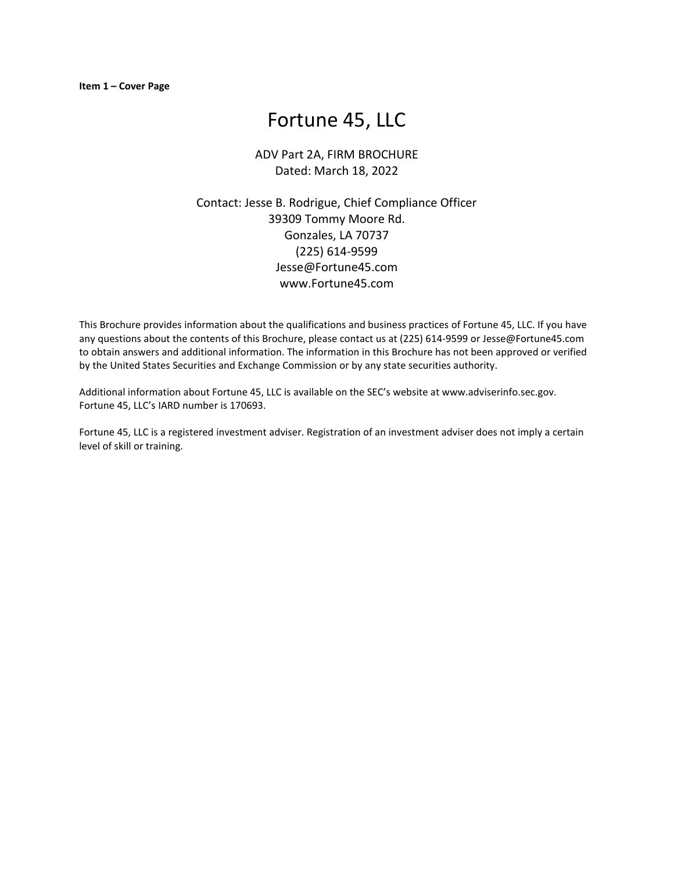# Fortune 45, LLC

# ADV Part 2A, FIRM BROCHURE Dated: March 18, 2022

Contact: Jesse B. Rodrigue, Chief Compliance Officer 39309 Tommy Moore Rd. Gonzales, LA 70737 (225) 614-9599 Jesse@Fortune45.com www.Fortune45.com

This Brochure provides information about the qualifications and business practices of Fortune 45, LLC. If you have any questions about the contents of this Brochure, please contact us at (225) 614-9599 or Jesse@Fortune45.com to obtain answers and additional information. The information in this Brochure has not been approved or verified by the United States Securities and Exchange Commission or by any state securities authority.

Additional information about Fortune 45, LLC is available on the SEC's website at www.adviserinfo.sec.gov. Fortune 45, LLC's IARD number is 170693.

Fortune 45, LLC is a registered investment adviser. Registration of an investment adviser does not imply a certain level of skill or training.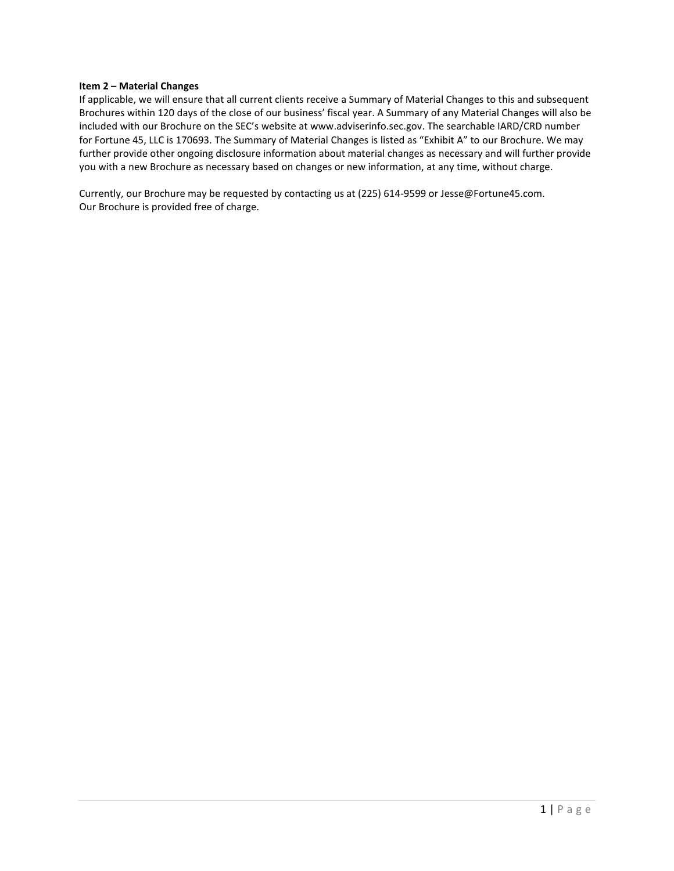#### **Item 2 – Material Changes**

If applicable, we will ensure that all current clients receive a Summary of Material Changes to this and subsequent Brochures within 120 days of the close of our business' fiscal year. A Summary of any Material Changes will also be included with our Brochure on the SEC's website at www.adviserinfo.sec.gov. The searchable IARD/CRD number for Fortune 45, LLC is 170693. The Summary of Material Changes is listed as "Exhibit A" to our Brochure. We may further provide other ongoing disclosure information about material changes as necessary and will further provide you with a new Brochure as necessary based on changes or new information, at any time, without charge.

Currently, our Brochure may be requested by contacting us at (225) 614-9599 or Jesse@Fortune45.com. Our Brochure is provided free of charge.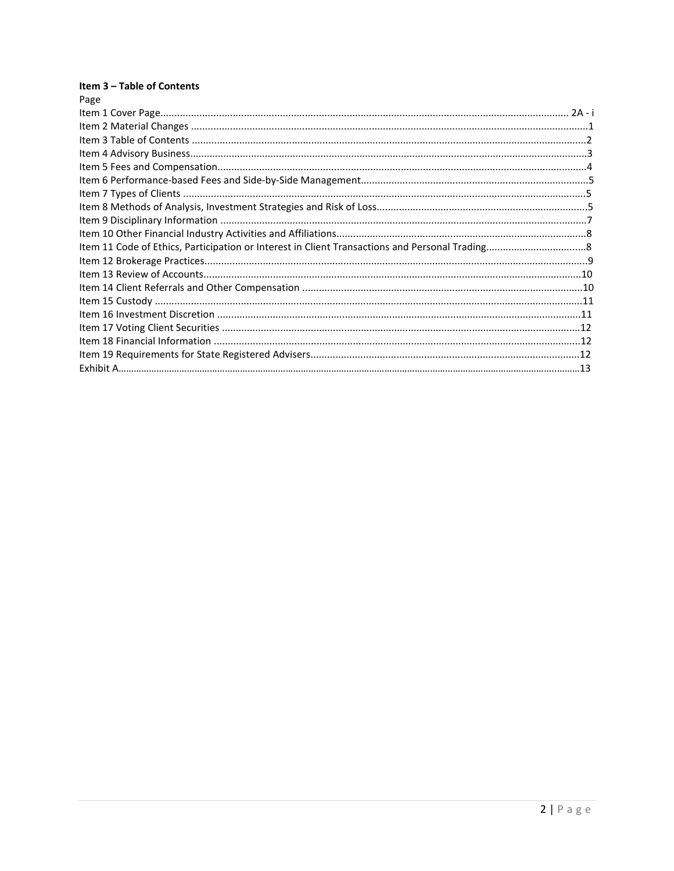# Item 3 - Table of Contents

| Page |  |
|------|--|
|      |  |
|      |  |
|      |  |
|      |  |
|      |  |
|      |  |
|      |  |
|      |  |
|      |  |
|      |  |
|      |  |
|      |  |
|      |  |
|      |  |
|      |  |
|      |  |
|      |  |
|      |  |
|      |  |
|      |  |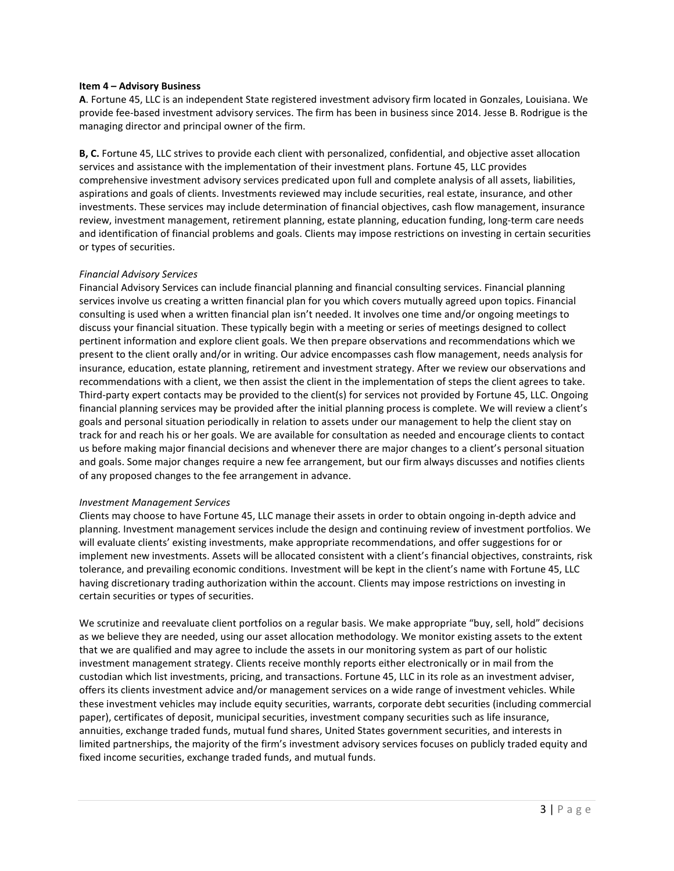#### **Item 4 – Advisory Business**

**A**. Fortune 45, LLC is an independent State registered investment advisory firm located in Gonzales, Louisiana. We provide fee-based investment advisory services. The firm has been in business since 2014. Jesse B. Rodrigue is the managing director and principal owner of the firm.

**B, C.** Fortune 45, LLC strives to provide each client with personalized, confidential, and objective asset allocation services and assistance with the implementation of their investment plans. Fortune 45, LLC provides comprehensive investment advisory services predicated upon full and complete analysis of all assets, liabilities, aspirations and goals of clients. Investments reviewed may include securities, real estate, insurance, and other investments. These services may include determination of financial objectives, cash flow management, insurance review, investment management, retirement planning, estate planning, education funding, long-term care needs and identification of financial problems and goals. Clients may impose restrictions on investing in certain securities or types of securities.

#### *Financial Advisory Services*

Financial Advisory Services can include financial planning and financial consulting services. Financial planning services involve us creating a written financial plan for you which covers mutually agreed upon topics. Financial consulting is used when a written financial plan isn't needed. It involves one time and/or ongoing meetings to discuss your financial situation. These typically begin with a meeting or series of meetings designed to collect pertinent information and explore client goals. We then prepare observations and recommendations which we present to the client orally and/or in writing. Our advice encompasses cash flow management, needs analysis for insurance, education, estate planning, retirement and investment strategy. After we review our observations and recommendations with a client, we then assist the client in the implementation of steps the client agrees to take. Third-party expert contacts may be provided to the client(s) for services not provided by Fortune 45, LLC. Ongoing financial planning services may be provided after the initial planning process is complete. We will review a client's goals and personal situation periodically in relation to assets under our management to help the client stay on track for and reach his or her goals. We are available for consultation as needed and encourage clients to contact us before making major financial decisions and whenever there are major changes to a client's personal situation and goals. Some major changes require a new fee arrangement, but our firm always discusses and notifies clients of any proposed changes to the fee arrangement in advance.

#### *Investment Management Services*

*C*lients may choose to have Fortune 45, LLC manage their assets in order to obtain ongoing in-depth advice and planning. Investment management services include the design and continuing review of investment portfolios. We will evaluate clients' existing investments, make appropriate recommendations, and offer suggestions for or implement new investments. Assets will be allocated consistent with a client's financial objectives, constraints, risk tolerance, and prevailing economic conditions. Investment will be kept in the client's name with Fortune 45, LLC having discretionary trading authorization within the account. Clients may impose restrictions on investing in certain securities or types of securities.

We scrutinize and reevaluate client portfolios on a regular basis. We make appropriate "buy, sell, hold" decisions as we believe they are needed, using our asset allocation methodology. We monitor existing assets to the extent that we are qualified and may agree to include the assets in our monitoring system as part of our holistic investment management strategy. Clients receive monthly reports either electronically or in mail from the custodian which list investments, pricing, and transactions. Fortune 45, LLC in its role as an investment adviser, offers its clients investment advice and/or management services on a wide range of investment vehicles. While these investment vehicles may include equity securities, warrants, corporate debt securities (including commercial paper), certificates of deposit, municipal securities, investment company securities such as life insurance, annuities, exchange traded funds, mutual fund shares, United States government securities, and interests in limited partnerships, the majority of the firm's investment advisory services focuses on publicly traded equity and fixed income securities, exchange traded funds, and mutual funds.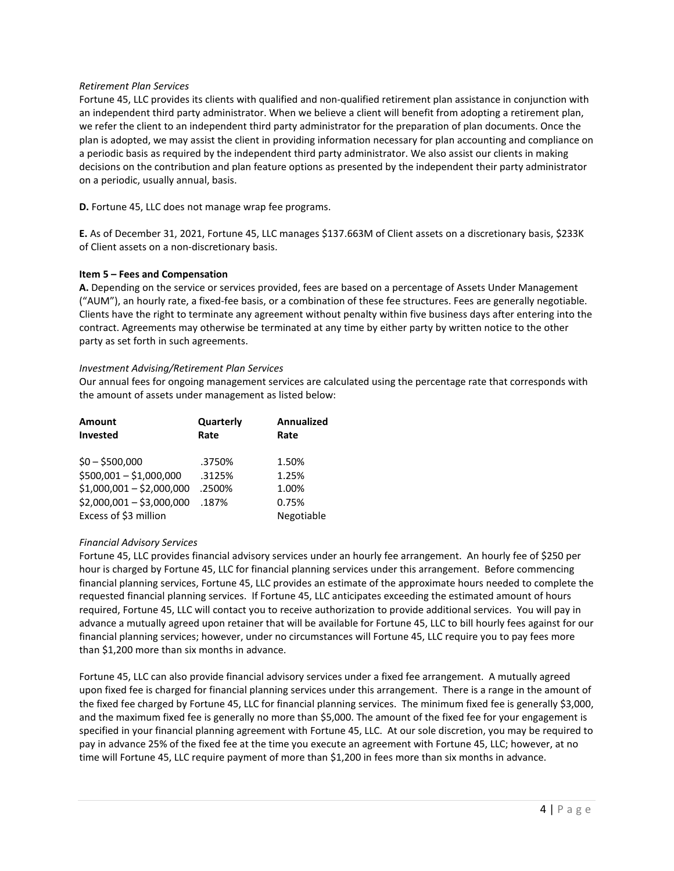## *Retirement Plan Services*

Fortune 45, LLC provides its clients with qualified and non-qualified retirement plan assistance in conjunction with an independent third party administrator. When we believe a client will benefit from adopting a retirement plan, we refer the client to an independent third party administrator for the preparation of plan documents. Once the plan is adopted, we may assist the client in providing information necessary for plan accounting and compliance on a periodic basis as required by the independent third party administrator. We also assist our clients in making decisions on the contribution and plan feature options as presented by the independent their party administrator on a periodic, usually annual, basis.

**D.** Fortune 45, LLC does not manage wrap fee programs.

**E.** As of December 31, 2021, Fortune 45, LLC manages \$137.663M of Client assets on a discretionary basis, \$233K of Client assets on a non-discretionary basis.

#### **Item 5 – Fees and Compensation**

**A.** Depending on the service or services provided, fees are based on a percentage of Assets Under Management ("AUM"), an hourly rate, a fixed-fee basis, or a combination of these fee structures. Fees are generally negotiable. Clients have the right to terminate any agreement without penalty within five business days after entering into the contract. Agreements may otherwise be terminated at any time by either party by written notice to the other party as set forth in such agreements.

#### *Investment Advising/Retirement Plan Services*

Our annual fees for ongoing management services are calculated using the percentage rate that corresponds with the amount of assets under management as listed below:

| Amount                    | Quarterly | <b>Annualized</b> |
|---------------------------|-----------|-------------------|
| Invested                  | Rate      | Rate              |
|                           |           |                   |
| $$0 - $500,000$           | .3750%    | 1.50%             |
| $$500,001 - $1,000,000$   | .3125%    | 1.25%             |
| $$1,000,001 - $2,000,000$ | .2500%    | 1.00%             |
| $$2,000,001 - $3,000,000$ | .187%     | 0.75%             |
| Excess of \$3 million     |           | Negotiable        |

# *Financial Advisory Services*

Fortune 45, LLC provides financial advisory services under an hourly fee arrangement. An hourly fee of \$250 per hour is charged by Fortune 45, LLC for financial planning services under this arrangement. Before commencing financial planning services, Fortune 45, LLC provides an estimate of the approximate hours needed to complete the requested financial planning services. If Fortune 45, LLC anticipates exceeding the estimated amount of hours required, Fortune 45, LLC will contact you to receive authorization to provide additional services. You will pay in advance a mutually agreed upon retainer that will be available for Fortune 45, LLC to bill hourly fees against for our financial planning services; however, under no circumstances will Fortune 45, LLC require you to pay fees more than \$1,200 more than six months in advance.

Fortune 45, LLC can also provide financial advisory services under a fixed fee arrangement. A mutually agreed upon fixed fee is charged for financial planning services under this arrangement. There is a range in the amount of the fixed fee charged by Fortune 45, LLC for financial planning services. The minimum fixed fee is generally \$3,000, and the maximum fixed fee is generally no more than \$5,000. The amount of the fixed fee for your engagement is specified in your financial planning agreement with Fortune 45, LLC. At our sole discretion, you may be required to pay in advance 25% of the fixed fee at the time you execute an agreement with Fortune 45, LLC; however, at no time will Fortune 45, LLC require payment of more than \$1,200 in fees more than six months in advance.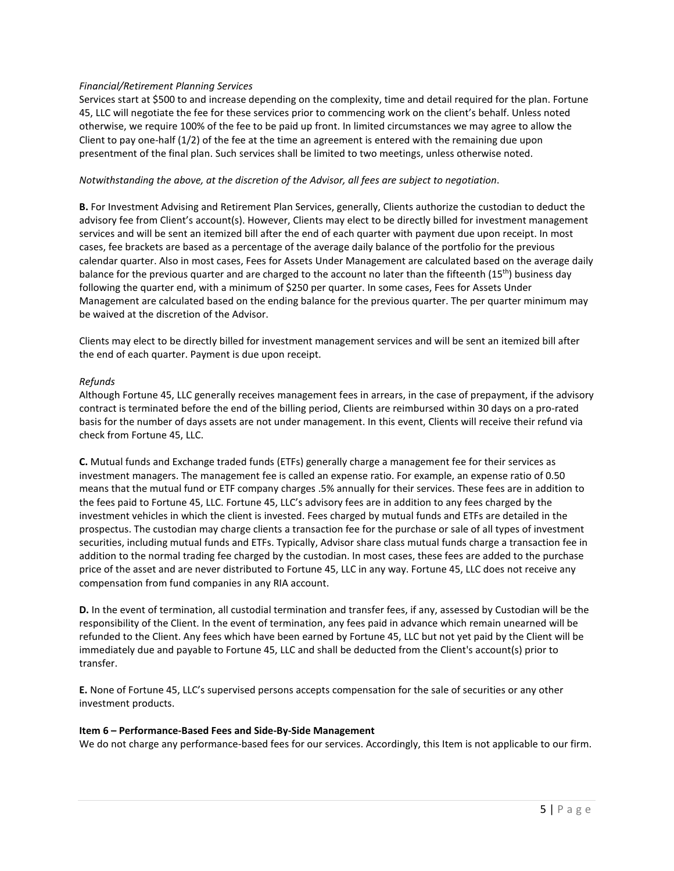## *Financial/Retirement Planning Services*

Services start at \$500 to and increase depending on the complexity, time and detail required for the plan. Fortune 45, LLC will negotiate the fee for these services prior to commencing work on the client's behalf. Unless noted otherwise, we require 100% of the fee to be paid up front. In limited circumstances we may agree to allow the Client to pay one-half (1/2) of the fee at the time an agreement is entered with the remaining due upon presentment of the final plan. Such services shall be limited to two meetings, unless otherwise noted.

#### *Notwithstanding the above, at the discretion of the Advisor, all fees are subject to negotiation*.

**B.** For Investment Advising and Retirement Plan Services, generally, Clients authorize the custodian to deduct the advisory fee from Client's account(s). However, Clients may elect to be directly billed for investment management services and will be sent an itemized bill after the end of each quarter with payment due upon receipt. In most cases, fee brackets are based as a percentage of the average daily balance of the portfolio for the previous calendar quarter. Also in most cases, Fees for Assets Under Management are calculated based on the average daily balance for the previous quarter and are charged to the account no later than the fifteenth (15th) business day following the quarter end, with a minimum of \$250 per quarter. In some cases, Fees for Assets Under Management are calculated based on the ending balance for the previous quarter. The per quarter minimum may be waived at the discretion of the Advisor.

Clients may elect to be directly billed for investment management services and will be sent an itemized bill after the end of each quarter. Payment is due upon receipt.

#### *Refunds*

Although Fortune 45, LLC generally receives management fees in arrears, in the case of prepayment, if the advisory contract is terminated before the end of the billing period, Clients are reimbursed within 30 days on a pro-rated basis for the number of days assets are not under management. In this event, Clients will receive their refund via check from Fortune 45, LLC.

**C.** Mutual funds and Exchange traded funds (ETFs) generally charge a management fee for their services as investment managers. The management fee is called an expense ratio. For example, an expense ratio of 0.50 means that the mutual fund or ETF company charges .5% annually for their services. These fees are in addition to the fees paid to Fortune 45, LLC. Fortune 45, LLC's advisory fees are in addition to any fees charged by the investment vehicles in which the client is invested. Fees charged by mutual funds and ETFs are detailed in the prospectus. The custodian may charge clients a transaction fee for the purchase or sale of all types of investment securities, including mutual funds and ETFs. Typically, Advisor share class mutual funds charge a transaction fee in addition to the normal trading fee charged by the custodian. In most cases, these fees are added to the purchase price of the asset and are never distributed to Fortune 45, LLC in any way. Fortune 45, LLC does not receive any compensation from fund companies in any RIA account.

**D.** In the event of termination, all custodial termination and transfer fees, if any, assessed by Custodian will be the responsibility of the Client. In the event of termination, any fees paid in advance which remain unearned will be refunded to the Client. Any fees which have been earned by Fortune 45, LLC but not yet paid by the Client will be immediately due and payable to Fortune 45, LLC and shall be deducted from the Client's account(s) prior to transfer.

**E.** None of Fortune 45, LLC's supervised persons accepts compensation for the sale of securities or any other investment products.

#### **Item 6 – Performance-Based Fees and Side-By-Side Management**

We do not charge any performance-based fees for our services. Accordingly, this Item is not applicable to our firm.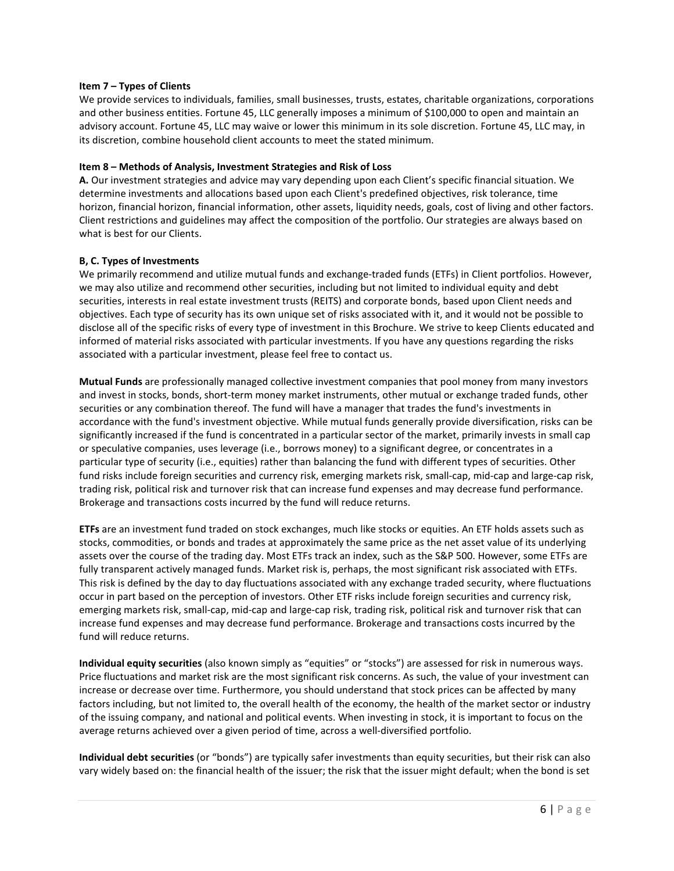#### **Item 7 – Types of Clients**

We provide services to individuals, families, small businesses, trusts, estates, charitable organizations, corporations and other business entities. Fortune 45, LLC generally imposes a minimum of \$100,000 to open and maintain an advisory account. Fortune 45, LLC may waive or lower this minimum in its sole discretion. Fortune 45, LLC may, in its discretion, combine household client accounts to meet the stated minimum.

#### **Item 8 – Methods of Analysis, Investment Strategies and Risk of Loss**

**A.** Our investment strategies and advice may vary depending upon each Client's specific financial situation. We determine investments and allocations based upon each Client's predefined objectives, risk tolerance, time horizon, financial horizon, financial information, other assets, liquidity needs, goals, cost of living and other factors. Client restrictions and guidelines may affect the composition of the portfolio. Our strategies are always based on what is best for our Clients.

#### **B, C. Types of Investments**

We primarily recommend and utilize mutual funds and exchange-traded funds (ETFs) in Client portfolios. However, we may also utilize and recommend other securities, including but not limited to individual equity and debt securities, interests in real estate investment trusts (REITS) and corporate bonds, based upon Client needs and objectives. Each type of security has its own unique set of risks associated with it, and it would not be possible to disclose all of the specific risks of every type of investment in this Brochure. We strive to keep Clients educated and informed of material risks associated with particular investments. If you have any questions regarding the risks associated with a particular investment, please feel free to contact us.

**Mutual Funds** are professionally managed collective investment companies that pool money from many investors and invest in stocks, bonds, short-term money market instruments, other mutual or exchange traded funds, other securities or any combination thereof. The fund will have a manager that trades the fund's investments in accordance with the fund's investment objective. While mutual funds generally provide diversification, risks can be significantly increased if the fund is concentrated in a particular sector of the market, primarily invests in small cap or speculative companies, uses leverage (i.e., borrows money) to a significant degree, or concentrates in a particular type of security (i.e., equities) rather than balancing the fund with different types of securities. Other fund risks include foreign securities and currency risk, emerging markets risk, small-cap, mid-cap and large-cap risk, trading risk, political risk and turnover risk that can increase fund expenses and may decrease fund performance. Brokerage and transactions costs incurred by the fund will reduce returns.

**ETFs** are an investment fund traded on stock exchanges, much like stocks or equities. An ETF holds assets such as stocks, commodities, or bonds and trades at approximately the same price as the net asset value of its underlying assets over the course of the trading day. Most ETFs track an index, such as the S&P 500. However, some ETFs are fully transparent actively managed funds. Market risk is, perhaps, the most significant risk associated with ETFs. This risk is defined by the day to day fluctuations associated with any exchange traded security, where fluctuations occur in part based on the perception of investors. Other ETF risks include foreign securities and currency risk, emerging markets risk, small-cap, mid-cap and large-cap risk, trading risk, political risk and turnover risk that can increase fund expenses and may decrease fund performance. Brokerage and transactions costs incurred by the fund will reduce returns.

**Individual equity securities** (also known simply as "equities" or "stocks") are assessed for risk in numerous ways. Price fluctuations and market risk are the most significant risk concerns. As such, the value of your investment can increase or decrease over time. Furthermore, you should understand that stock prices can be affected by many factors including, but not limited to, the overall health of the economy, the health of the market sector or industry of the issuing company, and national and political events. When investing in stock, it is important to focus on the average returns achieved over a given period of time, across a well-diversified portfolio.

**Individual debt securities** (or "bonds") are typically safer investments than equity securities, but their risk can also vary widely based on: the financial health of the issuer; the risk that the issuer might default; when the bond is set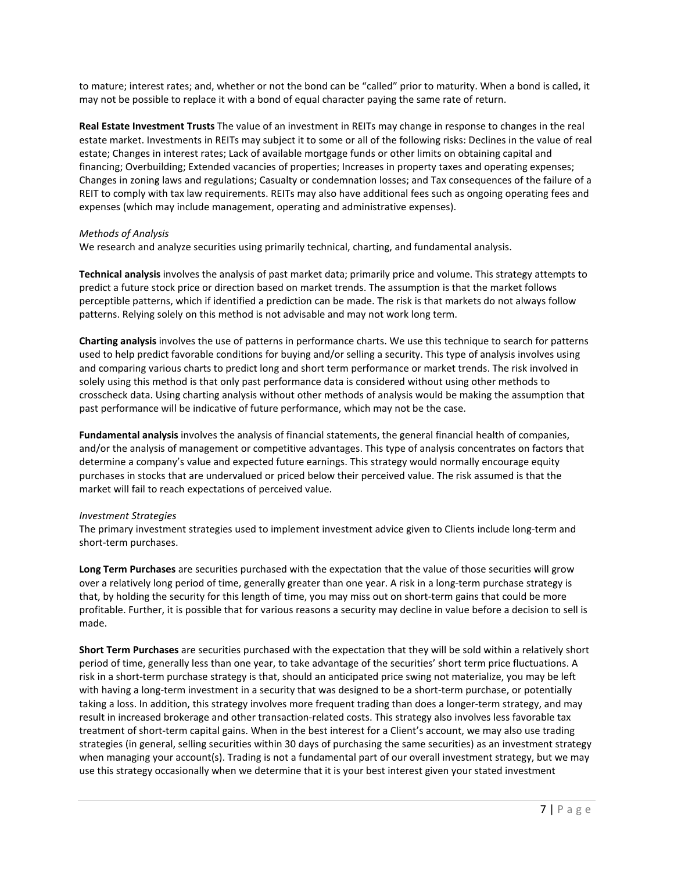to mature; interest rates; and, whether or not the bond can be "called" prior to maturity. When a bond is called, it may not be possible to replace it with a bond of equal character paying the same rate of return.

**Real Estate Investment Trusts** The value of an investment in REITs may change in response to changes in the real estate market. Investments in REITs may subject it to some or all of the following risks: Declines in the value of real estate; Changes in interest rates; Lack of available mortgage funds or other limits on obtaining capital and financing; Overbuilding; Extended vacancies of properties; Increases in property taxes and operating expenses; Changes in zoning laws and regulations; Casualty or condemnation losses; and Tax consequences of the failure of a REIT to comply with tax law requirements. REITs may also have additional fees such as ongoing operating fees and expenses (which may include management, operating and administrative expenses).

#### *Methods of Analysis*

We research and analyze securities using primarily technical, charting, and fundamental analysis.

**Technical analysis** involves the analysis of past market data; primarily price and volume. This strategy attempts to predict a future stock price or direction based on market trends. The assumption is that the market follows perceptible patterns, which if identified a prediction can be made. The risk is that markets do not always follow patterns. Relying solely on this method is not advisable and may not work long term.

**Charting analysis** involves the use of patterns in performance charts. We use this technique to search for patterns used to help predict favorable conditions for buying and/or selling a security. This type of analysis involves using and comparing various charts to predict long and short term performance or market trends. The risk involved in solely using this method is that only past performance data is considered without using other methods to crosscheck data. Using charting analysis without other methods of analysis would be making the assumption that past performance will be indicative of future performance, which may not be the case.

**Fundamental analysis** involves the analysis of financial statements, the general financial health of companies, and/or the analysis of management or competitive advantages. This type of analysis concentrates on factors that determine a company's value and expected future earnings. This strategy would normally encourage equity purchases in stocks that are undervalued or priced below their perceived value. The risk assumed is that the market will fail to reach expectations of perceived value.

#### *Investment Strategies*

The primary investment strategies used to implement investment advice given to Clients include long-term and short-term purchases.

**Long Term Purchases** are securities purchased with the expectation that the value of those securities will grow over a relatively long period of time, generally greater than one year. A risk in a long-term purchase strategy is that, by holding the security for this length of time, you may miss out on short-term gains that could be more profitable. Further, it is possible that for various reasons a security may decline in value before a decision to sell is made.

**Short Term Purchases** are securities purchased with the expectation that they will be sold within a relatively short period of time, generally less than one year, to take advantage of the securities' short term price fluctuations. A risk in a short-term purchase strategy is that, should an anticipated price swing not materialize, you may be left with having a long-term investment in a security that was designed to be a short-term purchase, or potentially taking a loss. In addition, this strategy involves more frequent trading than does a longer-term strategy, and may result in increased brokerage and other transaction-related costs. This strategy also involves less favorable tax treatment of short-term capital gains. When in the best interest for a Client's account, we may also use trading strategies (in general, selling securities within 30 days of purchasing the same securities) as an investment strategy when managing your account(s). Trading is not a fundamental part of our overall investment strategy, but we may use this strategy occasionally when we determine that it is your best interest given your stated investment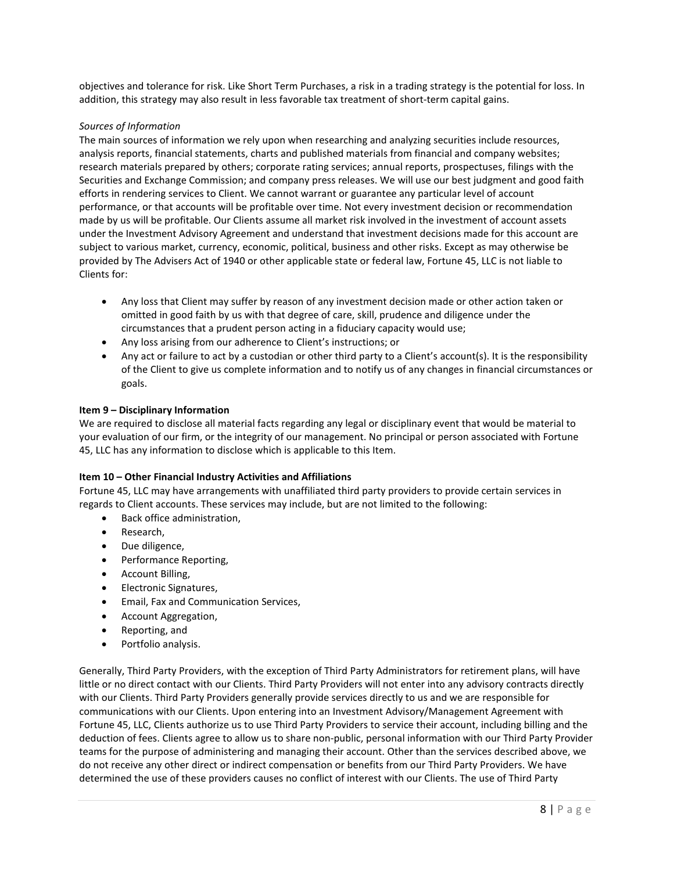objectives and tolerance for risk. Like Short Term Purchases, a risk in a trading strategy is the potential for loss. In addition, this strategy may also result in less favorable tax treatment of short-term capital gains.

## *Sources of Information*

The main sources of information we rely upon when researching and analyzing securities include resources, analysis reports, financial statements, charts and published materials from financial and company websites; research materials prepared by others; corporate rating services; annual reports, prospectuses, filings with the Securities and Exchange Commission; and company press releases. We will use our best judgment and good faith efforts in rendering services to Client. We cannot warrant or guarantee any particular level of account performance, or that accounts will be profitable over time. Not every investment decision or recommendation made by us will be profitable. Our Clients assume all market risk involved in the investment of account assets under the Investment Advisory Agreement and understand that investment decisions made for this account are subject to various market, currency, economic, political, business and other risks. Except as may otherwise be provided by The Advisers Act of 1940 or other applicable state or federal law, Fortune 45, LLC is not liable to Clients for:

- Any loss that Client may suffer by reason of any investment decision made or other action taken or omitted in good faith by us with that degree of care, skill, prudence and diligence under the circumstances that a prudent person acting in a fiduciary capacity would use;
- Any loss arising from our adherence to Client's instructions; or
- Any act or failure to act by a custodian or other third party to a Client's account(s). It is the responsibility of the Client to give us complete information and to notify us of any changes in financial circumstances or goals.

#### **Item 9 – Disciplinary Information**

We are required to disclose all material facts regarding any legal or disciplinary event that would be material to your evaluation of our firm, or the integrity of our management. No principal or person associated with Fortune 45, LLC has any information to disclose which is applicable to this Item.

# **Item 10 – Other Financial Industry Activities and Affiliations**

Fortune 45, LLC may have arrangements with unaffiliated third party providers to provide certain services in regards to Client accounts. These services may include, but are not limited to the following:

- Back office administration,
- Research,
- Due diligence,
- Performance Reporting,
- Account Billing,
- Electronic Signatures,
- Email, Fax and Communication Services,
- Account Aggregation,
- Reporting, and
- Portfolio analysis.

Generally, Third Party Providers, with the exception of Third Party Administrators for retirement plans, will have little or no direct contact with our Clients. Third Party Providers will not enter into any advisory contracts directly with our Clients. Third Party Providers generally provide services directly to us and we are responsible for communications with our Clients. Upon entering into an Investment Advisory/Management Agreement with Fortune 45, LLC, Clients authorize us to use Third Party Providers to service their account, including billing and the deduction of fees. Clients agree to allow us to share non-public, personal information with our Third Party Provider teams for the purpose of administering and managing their account. Other than the services described above, we do not receive any other direct or indirect compensation or benefits from our Third Party Providers. We have determined the use of these providers causes no conflict of interest with our Clients. The use of Third Party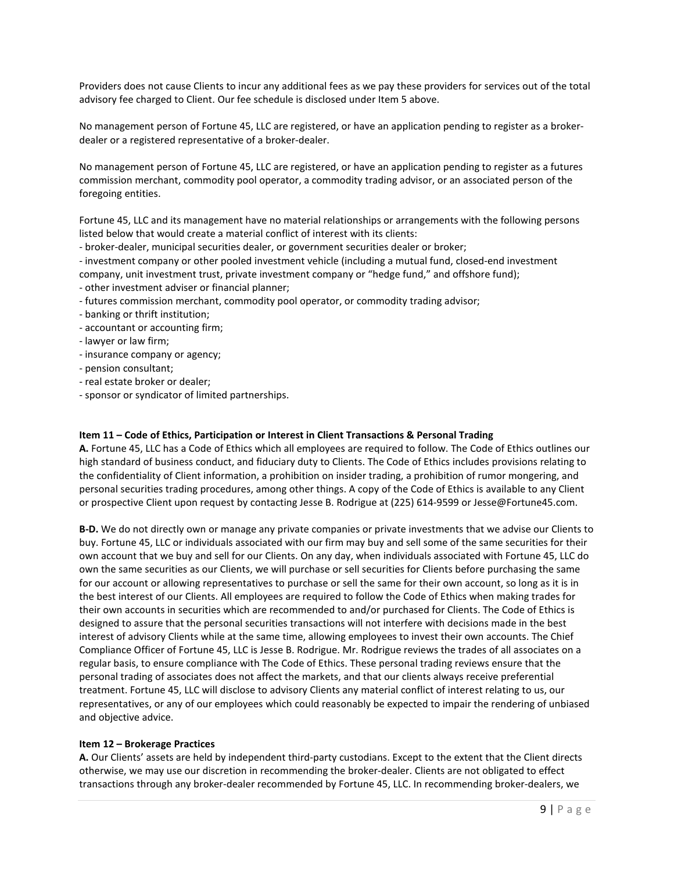Providers does not cause Clients to incur any additional fees as we pay these providers for services out of the total advisory fee charged to Client. Our fee schedule is disclosed under Item 5 above.

No management person of Fortune 45, LLC are registered, or have an application pending to register as a brokerdealer or a registered representative of a broker-dealer.

No management person of Fortune 45, LLC are registered, or have an application pending to register as a futures commission merchant, commodity pool operator, a commodity trading advisor, or an associated person of the foregoing entities.

Fortune 45, LLC and its management have no material relationships or arrangements with the following persons listed below that would create a material conflict of interest with its clients:

- broker-dealer, municipal securities dealer, or government securities dealer or broker;

- investment company or other pooled investment vehicle (including a mutual fund, closed-end investment company, unit investment trust, private investment company or "hedge fund," and offshore fund); - other investment adviser or financial planner;

- futures commission merchant, commodity pool operator, or commodity trading advisor;
- banking or thrift institution;
- accountant or accounting firm;
- lawyer or law firm;
- insurance company or agency;
- pension consultant;
- real estate broker or dealer;
- sponsor or syndicator of limited partnerships.

#### **Item 11 – Code of Ethics, Participation or Interest in Client Transactions & Personal Trading**

**A.** Fortune 45, LLC has a Code of Ethics which all employees are required to follow. The Code of Ethics outlines our high standard of business conduct, and fiduciary duty to Clients. The Code of Ethics includes provisions relating to the confidentiality of Client information, a prohibition on insider trading, a prohibition of rumor mongering, and personal securities trading procedures, among other things. A copy of the Code of Ethics is available to any Client or prospective Client upon request by contacting Jesse B. Rodrigue at (225) 614-9599 or Jesse@Fortune45.com.

**B-D.** We do not directly own or manage any private companies or private investments that we advise our Clients to buy. Fortune 45, LLC or individuals associated with our firm may buy and sell some of the same securities for their own account that we buy and sell for our Clients. On any day, when individuals associated with Fortune 45, LLC do own the same securities as our Clients, we will purchase or sell securities for Clients before purchasing the same for our account or allowing representatives to purchase or sell the same for their own account, so long as it is in the best interest of our Clients. All employees are required to follow the Code of Ethics when making trades for their own accounts in securities which are recommended to and/or purchased for Clients. The Code of Ethics is designed to assure that the personal securities transactions will not interfere with decisions made in the best interest of advisory Clients while at the same time, allowing employees to invest their own accounts. The Chief Compliance Officer of Fortune 45, LLC is Jesse B. Rodrigue. Mr. Rodrigue reviews the trades of all associates on a regular basis, to ensure compliance with The Code of Ethics. These personal trading reviews ensure that the personal trading of associates does not affect the markets, and that our clients always receive preferential treatment. Fortune 45, LLC will disclose to advisory Clients any material conflict of interest relating to us, our representatives, or any of our employees which could reasonably be expected to impair the rendering of unbiased and objective advice.

#### **Item 12 – Brokerage Practices**

**A.** Our Clients' assets are held by independent third-party custodians. Except to the extent that the Client directs otherwise, we may use our discretion in recommending the broker-dealer. Clients are not obligated to effect transactions through any broker-dealer recommended by Fortune 45, LLC. In recommending broker-dealers, we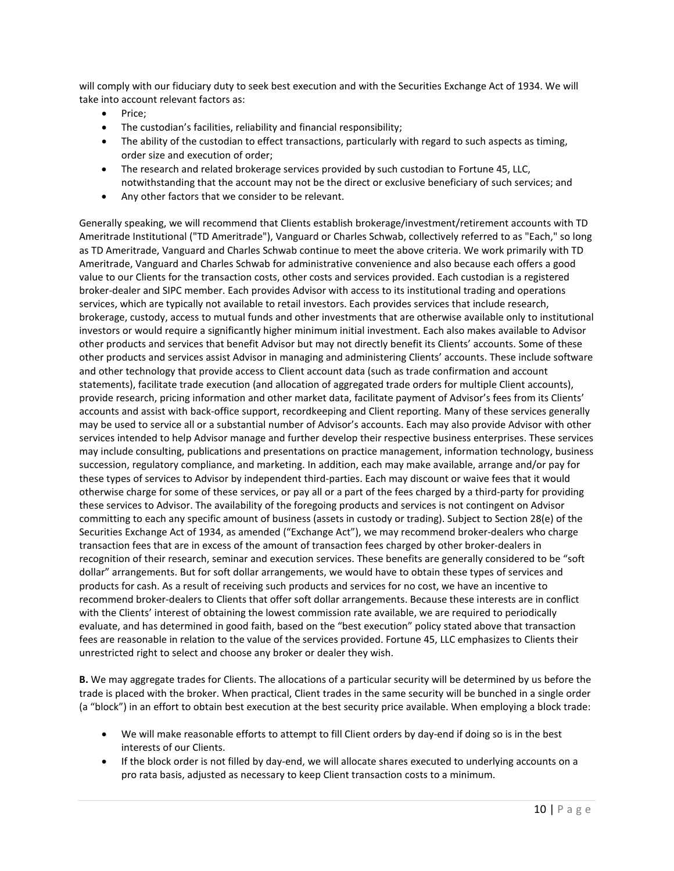will comply with our fiduciary duty to seek best execution and with the Securities Exchange Act of 1934. We will take into account relevant factors as:

- Price;
- The custodian's facilities, reliability and financial responsibility;
- The ability of the custodian to effect transactions, particularly with regard to such aspects as timing, order size and execution of order;
- The research and related brokerage services provided by such custodian to Fortune 45, LLC, notwithstanding that the account may not be the direct or exclusive beneficiary of such services; and
- Any other factors that we consider to be relevant.

Generally speaking, we will recommend that Clients establish brokerage/investment/retirement accounts with TD Ameritrade Institutional ("TD Ameritrade"), Vanguard or Charles Schwab, collectively referred to as "Each," so long as TD Ameritrade, Vanguard and Charles Schwab continue to meet the above criteria. We work primarily with TD Ameritrade, Vanguard and Charles Schwab for administrative convenience and also because each offers a good value to our Clients for the transaction costs, other costs and services provided. Each custodian is a registered broker-dealer and SIPC member. Each provides Advisor with access to its institutional trading and operations services, which are typically not available to retail investors. Each provides services that include research, brokerage, custody, access to mutual funds and other investments that are otherwise available only to institutional investors or would require a significantly higher minimum initial investment. Each also makes available to Advisor other products and services that benefit Advisor but may not directly benefit its Clients' accounts. Some of these other products and services assist Advisor in managing and administering Clients' accounts. These include software and other technology that provide access to Client account data (such as trade confirmation and account statements), facilitate trade execution (and allocation of aggregated trade orders for multiple Client accounts), provide research, pricing information and other market data, facilitate payment of Advisor's fees from its Clients' accounts and assist with back-office support, recordkeeping and Client reporting. Many of these services generally may be used to service all or a substantial number of Advisor's accounts. Each may also provide Advisor with other services intended to help Advisor manage and further develop their respective business enterprises. These services may include consulting, publications and presentations on practice management, information technology, business succession, regulatory compliance, and marketing. In addition, each may make available, arrange and/or pay for these types of services to Advisor by independent third-parties. Each may discount or waive fees that it would otherwise charge for some of these services, or pay all or a part of the fees charged by a third-party for providing these services to Advisor. The availability of the foregoing products and services is not contingent on Advisor committing to each any specific amount of business (assets in custody or trading). Subject to Section 28(e) of the Securities Exchange Act of 1934, as amended ("Exchange Act"), we may recommend broker-dealers who charge transaction fees that are in excess of the amount of transaction fees charged by other broker-dealers in recognition of their research, seminar and execution services. These benefits are generally considered to be "soft dollar" arrangements. But for soft dollar arrangements, we would have to obtain these types of services and products for cash. As a result of receiving such products and services for no cost, we have an incentive to recommend broker-dealers to Clients that offer soft dollar arrangements. Because these interests are in conflict with the Clients' interest of obtaining the lowest commission rate available, we are required to periodically evaluate, and has determined in good faith, based on the "best execution" policy stated above that transaction fees are reasonable in relation to the value of the services provided. Fortune 45, LLC emphasizes to Clients their unrestricted right to select and choose any broker or dealer they wish.

**B.** We may aggregate trades for Clients. The allocations of a particular security will be determined by us before the trade is placed with the broker. When practical, Client trades in the same security will be bunched in a single order (a "block") in an effort to obtain best execution at the best security price available. When employing a block trade:

- We will make reasonable efforts to attempt to fill Client orders by day-end if doing so is in the best interests of our Clients.
- If the block order is not filled by day-end, we will allocate shares executed to underlying accounts on a pro rata basis, adjusted as necessary to keep Client transaction costs to a minimum.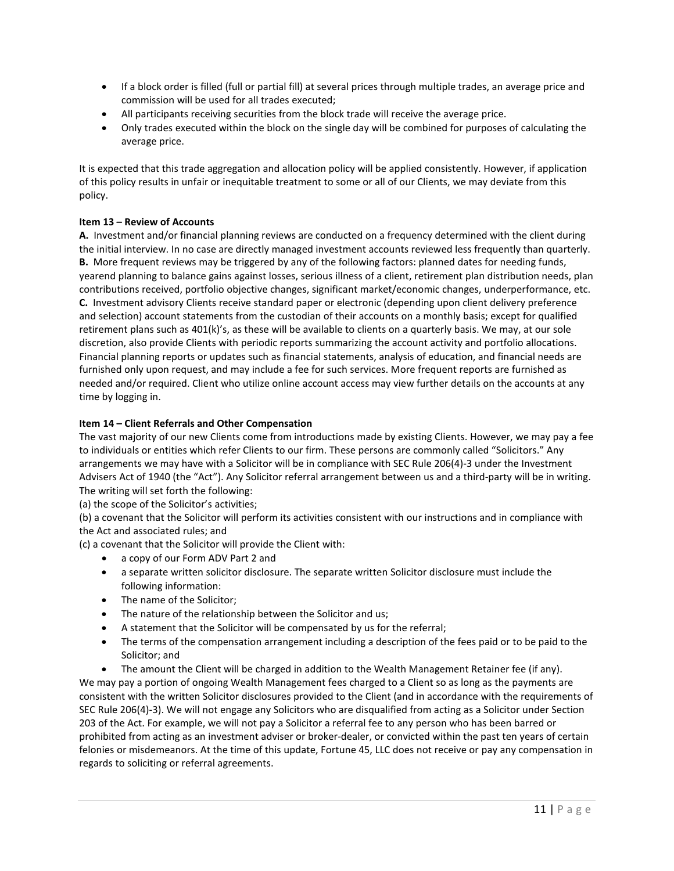- If a block order is filled (full or partial fill) at several prices through multiple trades, an average price and commission will be used for all trades executed;
- All participants receiving securities from the block trade will receive the average price.
- Only trades executed within the block on the single day will be combined for purposes of calculating the average price.

It is expected that this trade aggregation and allocation policy will be applied consistently. However, if application of this policy results in unfair or inequitable treatment to some or all of our Clients, we may deviate from this policy.

# **Item 13 – Review of Accounts**

**A.** Investment and/or financial planning reviews are conducted on a frequency determined with the client during the initial interview. In no case are directly managed investment accounts reviewed less frequently than quarterly. **B.** More frequent reviews may be triggered by any of the following factors: planned dates for needing funds, yearend planning to balance gains against losses, serious illness of a client, retirement plan distribution needs, plan contributions received, portfolio objective changes, significant market/economic changes, underperformance, etc. **C.** Investment advisory Clients receive standard paper or electronic (depending upon client delivery preference and selection) account statements from the custodian of their accounts on a monthly basis; except for qualified retirement plans such as 401(k)'s, as these will be available to clients on a quarterly basis. We may, at our sole discretion, also provide Clients with periodic reports summarizing the account activity and portfolio allocations. Financial planning reports or updates such as financial statements, analysis of education, and financial needs are furnished only upon request, and may include a fee for such services. More frequent reports are furnished as needed and/or required. Client who utilize online account access may view further details on the accounts at any time by logging in.

# **Item 14 – Client Referrals and Other Compensation**

The vast majority of our new Clients come from introductions made by existing Clients. However, we may pay a fee to individuals or entities which refer Clients to our firm. These persons are commonly called "Solicitors." Any arrangements we may have with a Solicitor will be in compliance with SEC Rule 206(4)-3 under the Investment Advisers Act of 1940 (the "Act"). Any Solicitor referral arrangement between us and a third-party will be in writing. The writing will set forth the following:

(a) the scope of the Solicitor's activities;

(b) a covenant that the Solicitor will perform its activities consistent with our instructions and in compliance with the Act and associated rules; and

(c) a covenant that the Solicitor will provide the Client with:

- a copy of our Form ADV Part 2 and
- a separate written solicitor disclosure. The separate written Solicitor disclosure must include the following information:
- The name of the Solicitor;
- The nature of the relationship between the Solicitor and us;
- A statement that the Solicitor will be compensated by us for the referral;
- The terms of the compensation arrangement including a description of the fees paid or to be paid to the Solicitor; and

• The amount the Client will be charged in addition to the Wealth Management Retainer fee (if any). We may pay a portion of ongoing Wealth Management fees charged to a Client so as long as the payments are consistent with the written Solicitor disclosures provided to the Client (and in accordance with the requirements of SEC Rule 206(4)-3). We will not engage any Solicitors who are disqualified from acting as a Solicitor under Section 203 of the Act. For example, we will not pay a Solicitor a referral fee to any person who has been barred or prohibited from acting as an investment adviser or broker-dealer, or convicted within the past ten years of certain felonies or misdemeanors. At the time of this update, Fortune 45, LLC does not receive or pay any compensation in regards to soliciting or referral agreements.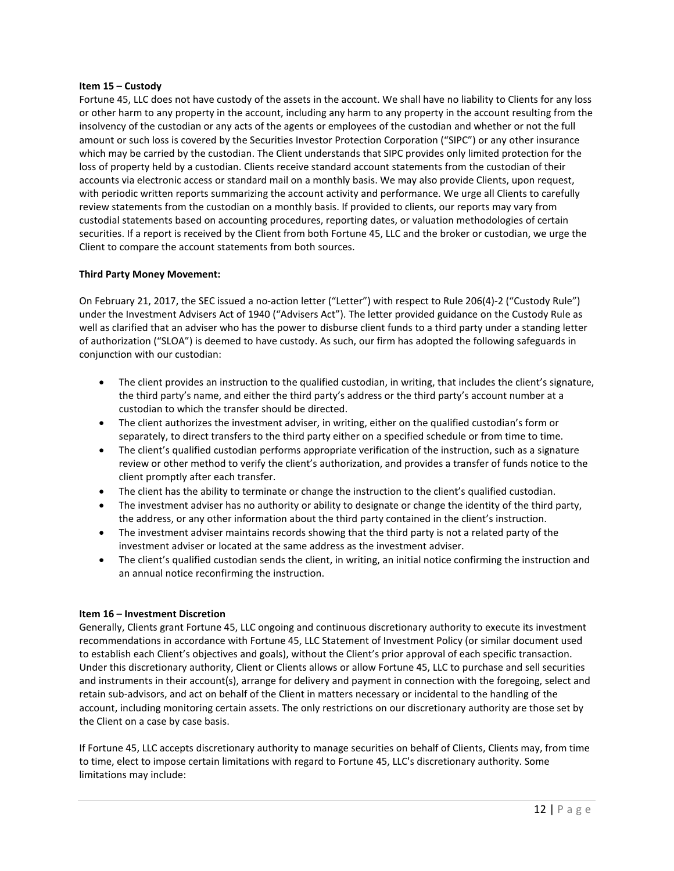#### **Item 15 – Custody**

Fortune 45, LLC does not have custody of the assets in the account. We shall have no liability to Clients for any loss or other harm to any property in the account, including any harm to any property in the account resulting from the insolvency of the custodian or any acts of the agents or employees of the custodian and whether or not the full amount or such loss is covered by the Securities Investor Protection Corporation ("SIPC") or any other insurance which may be carried by the custodian. The Client understands that SIPC provides only limited protection for the loss of property held by a custodian. Clients receive standard account statements from the custodian of their accounts via electronic access or standard mail on a monthly basis. We may also provide Clients, upon request, with periodic written reports summarizing the account activity and performance. We urge all Clients to carefully review statements from the custodian on a monthly basis. If provided to clients, our reports may vary from custodial statements based on accounting procedures, reporting dates, or valuation methodologies of certain securities. If a report is received by the Client from both Fortune 45, LLC and the broker or custodian, we urge the Client to compare the account statements from both sources.

# **Third Party Money Movement:**

On February 21, 2017, the SEC issued a no-action letter ("Letter") with respect to Rule 206(4)-2 ("Custody Rule") under the Investment Advisers Act of 1940 ("Advisers Act"). The letter provided guidance on the Custody Rule as well as clarified that an adviser who has the power to disburse client funds to a third party under a standing letter of authorization ("SLOA") is deemed to have custody. As such, our firm has adopted the following safeguards in conjunction with our custodian:

- The client provides an instruction to the qualified custodian, in writing, that includes the client's signature, the third party's name, and either the third party's address or the third party's account number at a custodian to which the transfer should be directed.
- The client authorizes the investment adviser, in writing, either on the qualified custodian's form or separately, to direct transfers to the third party either on a specified schedule or from time to time.
- The client's qualified custodian performs appropriate verification of the instruction, such as a signature review or other method to verify the client's authorization, and provides a transfer of funds notice to the client promptly after each transfer.
- The client has the ability to terminate or change the instruction to the client's qualified custodian.
- The investment adviser has no authority or ability to designate or change the identity of the third party, the address, or any other information about the third party contained in the client's instruction.
- The investment adviser maintains records showing that the third party is not a related party of the investment adviser or located at the same address as the investment adviser.
- The client's qualified custodian sends the client, in writing, an initial notice confirming the instruction and an annual notice reconfirming the instruction.

# **Item 16 – Investment Discretion**

Generally, Clients grant Fortune 45, LLC ongoing and continuous discretionary authority to execute its investment recommendations in accordance with Fortune 45, LLC Statement of Investment Policy (or similar document used to establish each Client's objectives and goals), without the Client's prior approval of each specific transaction. Under this discretionary authority, Client or Clients allows or allow Fortune 45, LLC to purchase and sell securities and instruments in their account(s), arrange for delivery and payment in connection with the foregoing, select and retain sub-advisors, and act on behalf of the Client in matters necessary or incidental to the handling of the account, including monitoring certain assets. The only restrictions on our discretionary authority are those set by the Client on a case by case basis.

If Fortune 45, LLC accepts discretionary authority to manage securities on behalf of Clients, Clients may, from time to time, elect to impose certain limitations with regard to Fortune 45, LLC's discretionary authority. Some limitations may include: